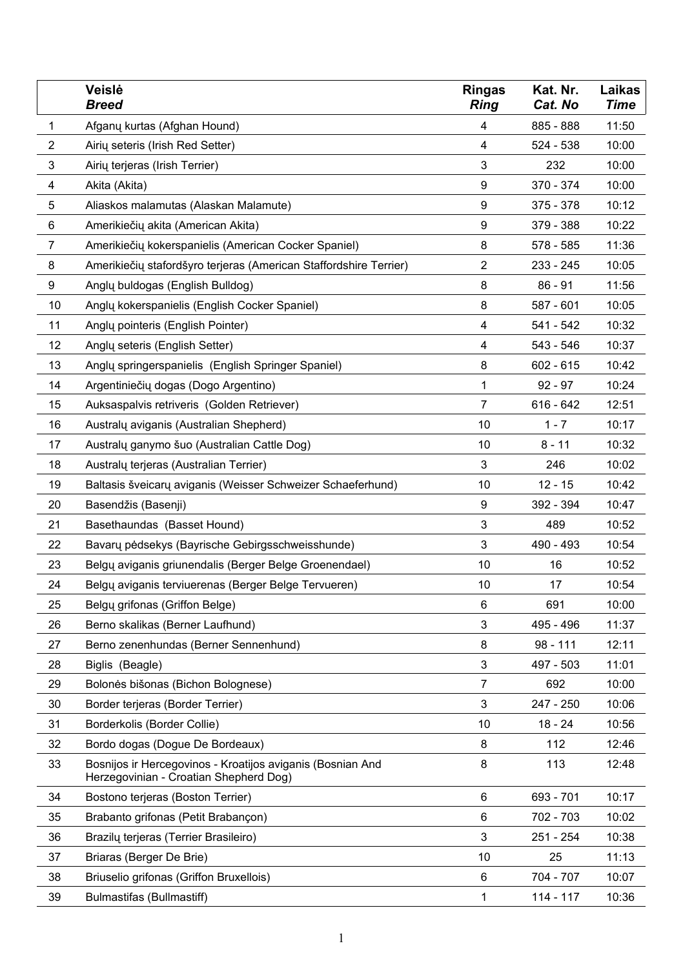|                | Veislė<br>Breed                                                                                      | Ringas<br><b>Ring</b> | Kat. Nr.<br>Cat. No | Laikas<br>Time |
|----------------|------------------------------------------------------------------------------------------------------|-----------------------|---------------------|----------------|
| 1              | Afganų kurtas (Afghan Hound)                                                                         | 4                     | 885 - 888           | 11:50          |
| $\overline{c}$ | Airių seteris (Irish Red Setter)                                                                     | 4                     | 524 - 538           | 10:00          |
| 3              | Airių terjeras (Irish Terrier)                                                                       | 3                     | 232                 | 10:00          |
| 4              | Akita (Akita)                                                                                        | 9                     | 370 - 374           | 10:00          |
| 5              | Aliaskos malamutas (Alaskan Malamute)                                                                | 9                     | 375 - 378           | 10:12          |
| 6              | Amerikiečių akita (American Akita)                                                                   | 9                     | 379 - 388           | 10:22          |
| 7              | Amerikiečių kokerspanielis (American Cocker Spaniel)                                                 | 8                     | 578 - 585           | 11:36          |
| 8              | Amerikiečių stafordšyro terjeras (American Staffordshire Terrier)                                    | 2                     | 233 - 245           | 10:05          |
| 9              | Anglų buldogas (English Bulldog)                                                                     | 8                     | $86 - 91$           | 11:56          |
| 10             | Angly kokerspanielis (English Cocker Spaniel)                                                        | 8                     | 587 - 601           | 10:05          |
| 11             | Anglų pointeris (English Pointer)                                                                    | 4                     | 541 - 542           | 10:32          |
| 12             | Anglų seteris (English Setter)                                                                       | 4                     | 543 - 546           | 10:37          |
| 13             | Anglų springerspanielis (English Springer Spaniel)                                                   | 8                     | 602 - 615           | 10:42          |
| 14             | Argentiniečių dogas (Dogo Argentino)                                                                 | 1                     | $92 - 97$           | 10:24          |
| 15             | Auksaspalvis retriveris (Golden Retriever)                                                           | 7                     | 616 - 642           | 12:51          |
| 16             | Australų aviganis (Australian Shepherd)                                                              | 10                    | $1 - 7$             | 10:17          |
| 17             | Australų ganymo šuo (Australian Cattle Dog)                                                          | 10                    | $8 - 11$            | 10:32          |
| 18             | Australų terjeras (Australian Terrier)                                                               | 3                     | 246                 | 10:02          |
| 19             | Baltasis šveicarų aviganis (Weisser Schweizer Schaeferhund)                                          | 10                    | $12 - 15$           | 10:42          |
| 20             | Basendžis (Basenji)                                                                                  | 9                     | 392 - 394           | 10:47          |
| 21             | Basethaundas (Basset Hound)                                                                          | 3                     | 489                 | 10:52          |
| 22             | Bavarų pėdsekys (Bayrische Gebirgsschweisshunde)                                                     | 3                     | 490 - 493           | 10:54          |
| 23             | Belgų aviganis griunendalis (Berger Belge Groenendael)                                               | 10                    | 16                  | 10:52          |
| 24             | Belgų aviganis terviuerenas (Berger Belge Tervueren)                                                 | 10                    | 17                  | 10:54          |
| 25             | Belgu grifonas (Griffon Belge)                                                                       | 6                     | 691                 | 10:00          |
| 26             | Berno skalikas (Berner Laufhund)                                                                     | 3                     | 495 - 496           | 11:37          |
| 27             | Berno zenenhundas (Berner Sennenhund)                                                                | 8                     | $98 - 111$          | 12:11          |
| 28             | Biglis (Beagle)                                                                                      | 3                     | 497 - 503           | 11:01          |
| 29             | Bolonės bišonas (Bichon Bolognese)                                                                   | 7                     | 692                 | 10:00          |
| 30             | Border terjeras (Border Terrier)                                                                     | 3                     | 247 - 250           | 10:06          |
| 31             | Borderkolis (Border Collie)                                                                          | 10                    | $18 - 24$           | 10:56          |
| 32             | Bordo dogas (Dogue De Bordeaux)                                                                      | 8                     | 112                 | 12:46          |
| 33             | Bosnijos ir Hercegovinos - Kroatijos aviganis (Bosnian And<br>Herzegovinian - Croatian Shepherd Dog) | 8                     | 113                 | 12:48          |
| 34             | Bostono terjeras (Boston Terrier)                                                                    | 6                     | 693 - 701           | 10:17          |
| 35             | Brabanto grifonas (Petit Brabançon)                                                                  | 6                     | 702 - 703           | 10:02          |
| 36             | Brazilų terjeras (Terrier Brasileiro)                                                                | 3                     | 251 - 254           | 10:38          |
| 37             | Briaras (Berger De Brie)                                                                             | 10                    | 25                  | 11:13          |
| 38             | Briuselio grifonas (Griffon Bruxellois)                                                              | 6                     | 704 - 707           | 10:07          |
| 39             | Bulmastifas (Bullmastiff)                                                                            | 1                     | 114 - 117           | 10:36          |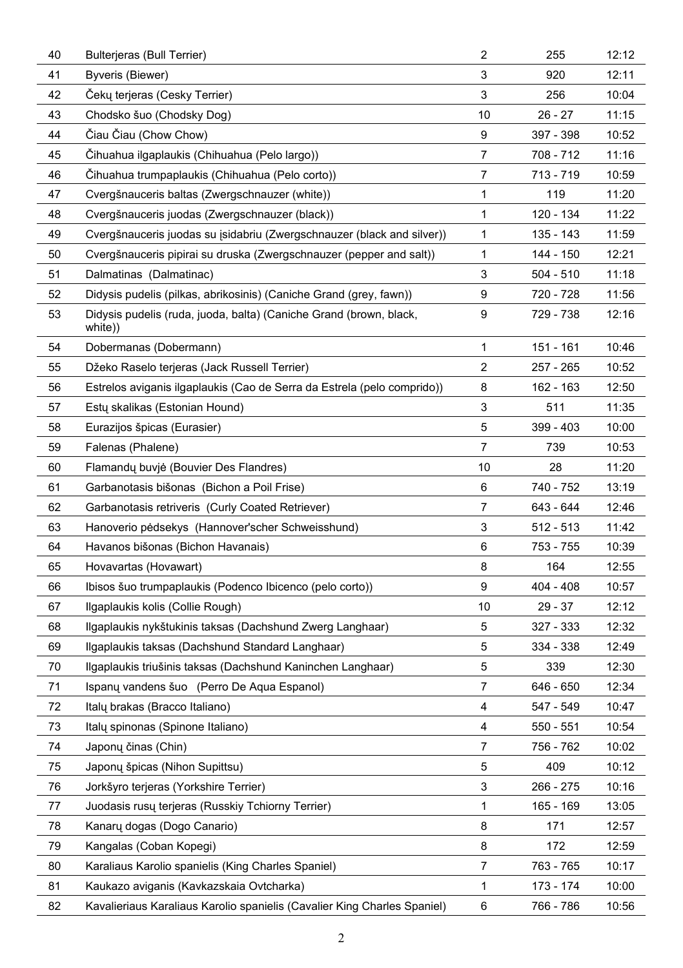| 40 | Bulterjeras (Bull Terrier)                                                    | 2              | 255         | 12:12 |
|----|-------------------------------------------------------------------------------|----------------|-------------|-------|
| 41 | Byveris (Biewer)                                                              | 3              | 920         | 12:11 |
| 42 | Cekų terjeras (Cesky Terrier)                                                 | 3              | 256         | 10:04 |
| 43 | Chodsko šuo (Chodsky Dog)                                                     | 10             | 26 - 27     | 11:15 |
| 44 | Ciau Ciau (Chow Chow)                                                         | 9              | 397 - 398   | 10:52 |
| 45 | Čihuahua ilgaplaukis (Chihuahua (Pelo largo))                                 | 7              | 708 - 712   | 11:16 |
| 46 | Cihuahua trumpaplaukis (Chihuahua (Pelo corto))                               | 7              | 713 - 719   | 10:59 |
| 47 | Cvergšnauceris baltas (Zwergschnauzer (white))                                | 1              | 119         | 11:20 |
| 48 | Cvergšnauceris juodas (Zwergschnauzer (black))                                | 1              | 120 - 134   | 11:22 |
| 49 | Cvergšnauceris juodas su isidabriu (Zwergschnauzer (black and silver))        | 1              | 135 - 143   | 11:59 |
| 50 | Cvergšnauceris pipirai su druska (Zwergschnauzer (pepper and salt))           | 1              | 144 - 150   | 12:21 |
| 51 | Dalmatinas (Dalmatinac)                                                       | 3              | 504 - 510   | 11:18 |
| 52 | Didysis pudelis (pilkas, abrikosinis) (Caniche Grand (grey, fawn))            | 9              | 720 - 728   | 11:56 |
| 53 | Didysis pudelis (ruda, juoda, balta) (Caniche Grand (brown, black,<br>white)) | 9              | 729 - 738   | 12:16 |
| 54 | Dobermanas (Dobermann)                                                        | 1              | 151 - 161   | 10:46 |
| 55 | Džeko Raselo terjeras (Jack Russell Terrier)                                  | 2              | 257 - 265   | 10:52 |
| 56 | Estrelos aviganis ilgaplaukis (Cao de Serra da Estrela (pelo comprido))       | 8              | 162 - 163   | 12:50 |
| 57 | Estų skalikas (Estonian Hound)                                                | 3              | 511         | 11:35 |
| 58 | Eurazijos špicas (Eurasier)                                                   | 5              | 399 - 403   | 10:00 |
| 59 | Falenas (Phalene)                                                             | 7              | 739         | 10:53 |
| 60 | Flamandų buvjė (Bouvier Des Flandres)                                         | 10             | 28          | 11:20 |
| 61 | Garbanotasis bišonas (Bichon a Poil Frise)                                    | 6              | 740 - 752   | 13:19 |
| 62 | Garbanotasis retriveris (Curly Coated Retriever)                              | 7              | 643 - 644   | 12:46 |
| 63 | Hanoverio pėdsekys (Hannover'scher Schweisshund)                              | 3              | 512 - 513   | 11:42 |
| 64 | Havanos bišonas (Bichon Havanais)                                             | 6              | 753 - 755   | 10:39 |
| 65 | Hovavartas (Hovawart)                                                         | 8              | 164         | 12:55 |
| 66 | Ibisos šuo trumpaplaukis (Podenco Ibicenco (pelo corto))                      | 9              | 404 - 408   | 10:57 |
| 67 | Ilgaplaukis kolis (Collie Rough)                                              | 10             | 29 - 37     | 12:12 |
| 68 | Ilgaplaukis nykštukinis taksas (Dachshund Zwerg Langhaar)                     | 5              | 327 - 333   | 12:32 |
| 69 | Ilgaplaukis taksas (Dachshund Standard Langhaar)                              | 5              | 334 - 338   | 12:49 |
| 70 | Ilgaplaukis triušinis taksas (Dachshund Kaninchen Langhaar)                   | 5              | 339         | 12:30 |
| 71 | Ispanų vandens šuo (Perro De Aqua Espanol)                                    | 7              | 646 - 650   | 12:34 |
| 72 | Italų brakas (Bracco Italiano)                                                | 4              | 547 - 549   | 10:47 |
| 73 | Italų spinonas (Spinone Italiano)                                             | $\overline{4}$ | 550 - 551   | 10:54 |
| 74 | Japonų činas (Chin)                                                           | 7              | 756 - 762   | 10:02 |
| 75 | Japonų špicas (Nihon Supittsu)                                                | 5              | 409         | 10:12 |
| 76 | Jorkšyro terjeras (Yorkshire Terrier)                                         | 3              | 266 - 275   | 10:16 |
| 77 | Juodasis rusu terjeras (Russkiy Tchiorny Terrier)                             | 1              | $165 - 169$ | 13:05 |
| 78 | Kanary dogas (Dogo Canario)                                                   | 8              | 171         | 12:57 |
| 79 | Kangalas (Coban Kopegi)                                                       | 8              | 172         | 12:59 |
| 80 | Karaliaus Karolio spanielis (King Charles Spaniel)                            | 7              | 763 - 765   | 10:17 |
| 81 | Kaukazo aviganis (Kavkazskaia Ovtcharka)                                      | 1              | 173 - 174   | 10:00 |
| 82 | Kavalieriaus Karaliaus Karolio spanielis (Cavalier King Charles Spaniel)      | 6              | 766 - 786   | 10:56 |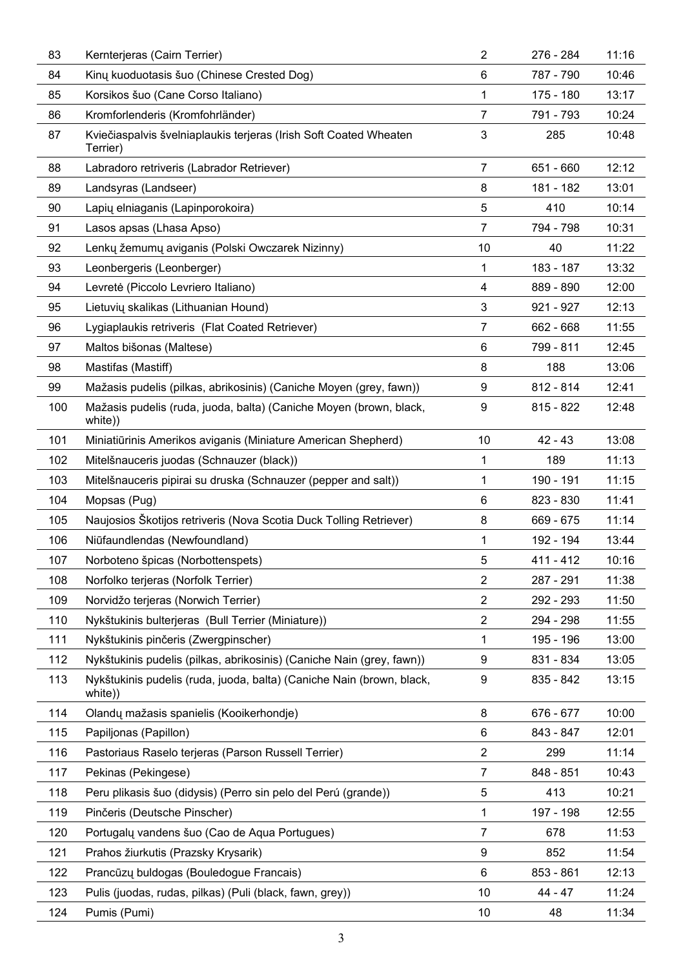| 83  | Kernterjeras (Cairn Terrier)                                                     | 2              | 276 - 284 | 11:16 |
|-----|----------------------------------------------------------------------------------|----------------|-----------|-------|
| 84  | Kiny kuoduotasis šuo (Chinese Crested Dog)                                       | 6              | 787 - 790 | 10:46 |
| 85  | Korsikos šuo (Cane Corso Italiano)                                               | 1              | 175 - 180 | 13:17 |
| 86  | Kromforlenderis (Kromfohrländer)                                                 | 7              | 791 - 793 | 10:24 |
| 87  | Kviečiaspalvis švelniaplaukis terjeras (Irish Soft Coated Wheaten<br>Terrier)    | 3              | 285       | 10:48 |
| 88  | Labradoro retriveris (Labrador Retriever)                                        | 7              | 651 - 660 | 12:12 |
| 89  | Landsyras (Landseer)                                                             | 8              | 181 - 182 | 13:01 |
| 90  | Lapių elniaganis (Lapinporokoira)                                                | 5              | 410       | 10:14 |
| 91  | Lasos apsas (Lhasa Apso)                                                         | $\overline{7}$ | 794 - 798 | 10:31 |
| 92  | Lenkų žemumų aviganis (Polski Owczarek Nizinny)                                  | 10             | 40        | 11:22 |
| 93  | Leonbergeris (Leonberger)                                                        | $\mathbf{1}$   | 183 - 187 | 13:32 |
| 94  | Levretė (Piccolo Levriero Italiano)                                              | 4              | 889 - 890 | 12:00 |
| 95  | Lietuvių skalikas (Lithuanian Hound)                                             | 3              | 921 - 927 | 12:13 |
| 96  | Lygiaplaukis retriveris (Flat Coated Retriever)                                  | $\overline{7}$ | 662 - 668 | 11:55 |
| 97  | Maltos bišonas (Maltese)                                                         | 6              | 799 - 811 | 12:45 |
| 98  | Mastifas (Mastiff)                                                               | 8              | 188       | 13:06 |
| 99  | Mažasis pudelis (pilkas, abrikosinis) (Caniche Moyen (grey, fawn))               | 9              | 812 - 814 | 12:41 |
| 100 | Mažasis pudelis (ruda, juoda, balta) (Caniche Moyen (brown, black,<br>white))    | 9              | 815 - 822 | 12:48 |
| 101 | Miniatiūrinis Amerikos aviganis (Miniature American Shepherd)                    | 10             | $42 - 43$ | 13:08 |
| 102 | Mitelšnauceris juodas (Schnauzer (black))                                        | 1              | 189       | 11:13 |
| 103 | Mitelšnauceris pipirai su druska (Schnauzer (pepper and salt))                   | 1              | 190 - 191 | 11:15 |
| 104 | Mopsas (Pug)                                                                     | 6              | 823 - 830 | 11:41 |
| 105 | Naujosios Skotijos retriveris (Nova Scotia Duck Tolling Retriever)               | 8              | 669 - 675 | 11:14 |
| 106 | Niūfaundlendas (Newfoundland)                                                    | $\mathbf{1}$   | 192 - 194 | 13:44 |
| 107 | Norboteno špicas (Norbottenspets)                                                | 5              | 411 - 412 | 10:16 |
| 108 | Norfolko terjeras (Norfolk Terrier)                                              | 2              | 287 - 291 | 11:38 |
| 109 | Norvidžo terjeras (Norwich Terrier)                                              | 2              | 292 - 293 | 11:50 |
| 110 | Nykštukinis bulterjeras (Bull Terrier (Miniature))                               | $\overline{2}$ | 294 - 298 | 11:55 |
| 111 | Nykštukinis pinčeris (Zwergpinscher)                                             | 1              | 195 - 196 | 13:00 |
| 112 | Nykštukinis pudelis (pilkas, abrikosinis) (Caniche Nain (grey, fawn))            | 9              | 831 - 834 | 13:05 |
| 113 | Nykštukinis pudelis (ruda, juoda, balta) (Caniche Nain (brown, black,<br>white)) | 9              | 835 - 842 | 13:15 |
| 114 | Olandų mažasis spanielis (Kooikerhondje)                                         | 8              | 676 - 677 | 10:00 |
| 115 | Papiljonas (Papillon)                                                            | 6              | 843 - 847 | 12:01 |
| 116 | Pastoriaus Raselo terjeras (Parson Russell Terrier)                              | 2              | 299       | 11:14 |
| 117 | Pekinas (Pekingese)                                                              | 7              | 848 - 851 | 10:43 |
| 118 | Peru plikasis šuo (didysis) (Perro sin pelo del Perú (grande))                   | 5              | 413       | 10:21 |
| 119 | Pinčeris (Deutsche Pinscher)                                                     | 1              | 197 - 198 | 12:55 |
| 120 | Portugalų vandens šuo (Cao de Agua Portugues)                                    | 7              | 678       | 11:53 |
| 121 | Prahos žiurkutis (Prazsky Krysarik)                                              | 9              | 852       | 11:54 |
| 122 | Prancūzų buldogas (Bouledogue Francais)                                          | 6              | 853 - 861 | 12:13 |
| 123 | Pulis (juodas, rudas, pilkas) (Puli (black, fawn, grey))                         | 10             | 44 - 47   | 11:24 |
| 124 | Pumis (Pumi)                                                                     | 10             | 48        | 11:34 |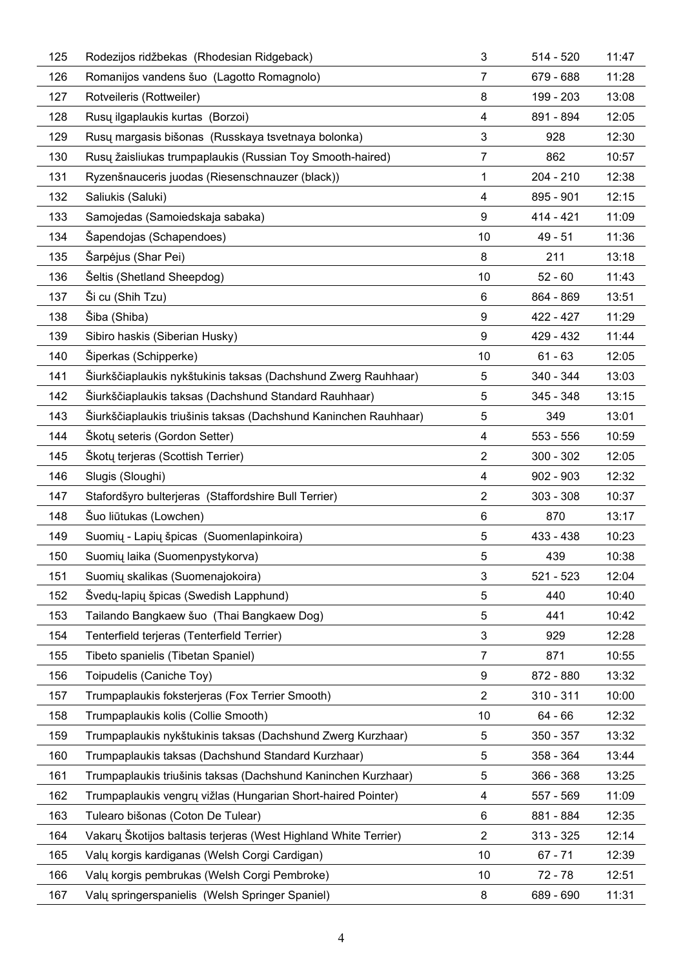| 125 | Rodezijos ridžbekas (Rhodesian Ridgeback)                        | 3              | $514 - 520$ | 11:47 |
|-----|------------------------------------------------------------------|----------------|-------------|-------|
| 126 | Romanijos vandens šuo (Lagotto Romagnolo)                        | 7              | 679 - 688   | 11:28 |
| 127 | Rotveileris (Rottweiler)                                         | 8              | 199 - 203   | 13:08 |
| 128 | Rusų ilgaplaukis kurtas (Borzoi)                                 | 4              | 891 - 894   | 12:05 |
| 129 | Rusų margasis bišonas (Russkaya tsvetnaya bolonka)               | 3              | 928         | 12:30 |
| 130 | Rusy žaisliukas trumpaplaukis (Russian Toy Smooth-haired)        | 7              | 862         | 10:57 |
| 131 | Ryzenšnauceris juodas (Riesenschnauzer (black))                  | 1              | 204 - 210   | 12:38 |
| 132 | Saliukis (Saluki)                                                | 4              | 895 - 901   | 12:15 |
| 133 | Samojedas (Samoiedskaja sabaka)                                  | 9              | 414 - 421   | 11:09 |
| 134 | Sapendojas (Schapendoes)                                         | 10             | 49 - 51     | 11:36 |
| 135 | Sarpėjus (Shar Pei)                                              | 8              | 211         | 13:18 |
| 136 | Šeltis (Shetland Sheepdog)                                       | 10             | $52 - 60$   | 11:43 |
| 137 | Si cu (Shih Tzu)                                                 | 6              | 864 - 869   | 13:51 |
| 138 | Siba (Shiba)                                                     | 9              | 422 - 427   | 11:29 |
| 139 | Sibiro haskis (Siberian Husky)                                   | 9              | 429 - 432   | 11:44 |
| 140 | Siperkas (Schipperke)                                            | 10             | $61 - 63$   | 12:05 |
| 141 | Siurkščiaplaukis nykštukinis taksas (Dachshund Zwerg Rauhhaar)   | 5              | 340 - 344   | 13:03 |
| 142 | Siurkščiaplaukis taksas (Dachshund Standard Rauhhaar)            | 5              | 345 - 348   | 13:15 |
| 143 | Siurkščiaplaukis triušinis taksas (Dachshund Kaninchen Rauhhaar) | 5              | 349         | 13:01 |
| 144 | Skoty seteris (Gordon Setter)                                    | 4              | 553 - 556   | 10:59 |
| 145 | Skotų terjeras (Scottish Terrier)                                | 2              | $300 - 302$ | 12:05 |
| 146 | Slugis (Sloughi)                                                 | 4              | $902 - 903$ | 12:32 |
| 147 | Stafordšyro bulterjeras (Staffordshire Bull Terrier)             | $\overline{2}$ | 303 - 308   | 10:37 |
| 148 | Suo liūtukas (Lowchen)                                           | 6              | 870         | 13:17 |
| 149 | Suomių - Lapių špicas (Suomenlapinkoira)                         | 5              | 433 - 438   | 10:23 |
| 150 | Suomių laika (Suomenpystykorva)                                  | 5              | 439         | 10:38 |
| 151 | Suomių skalikas (Suomenajokoira)                                 | 3              | 521 - 523   | 12:04 |
| 152 | Svedų-lapių špicas (Swedish Lapphund)                            | 5              | 440         | 10:40 |
| 153 | Tailando Bangkaew šuo (Thai Bangkaew Dog)                        | 5              | 441         | 10:42 |
| 154 | Tenterfield terjeras (Tenterfield Terrier)                       | 3              | 929         | 12:28 |
| 155 | Tibeto spanielis (Tibetan Spaniel)                               | 7              | 871         | 10:55 |
| 156 | Toipudelis (Caniche Toy)                                         | 9              | 872 - 880   | 13:32 |
| 157 | Trumpaplaukis foksterjeras (Fox Terrier Smooth)                  | 2              | $310 - 311$ | 10:00 |
| 158 | Trumpaplaukis kolis (Collie Smooth)                              | 10             | 64 - 66     | 12:32 |
| 159 | Trumpaplaukis nykštukinis taksas (Dachshund Zwerg Kurzhaar)      | 5              | $350 - 357$ | 13:32 |
| 160 | Trumpaplaukis taksas (Dachshund Standard Kurzhaar)               | 5              | 358 - 364   | 13:44 |
| 161 | Trumpaplaukis triušinis taksas (Dachshund Kaninchen Kurzhaar)    | 5              | 366 - 368   | 13:25 |
| 162 | Trumpaplaukis vengrų vižlas (Hungarian Short-haired Pointer)     | 4              | 557 - 569   | 11:09 |
| 163 | Tulearo bišonas (Coton De Tulear)                                | 6              | 881 - 884   | 12:35 |
| 164 | Vakary Skotijos baltasis terjeras (West Highland White Terrier)  | 2              | $313 - 325$ | 12:14 |
| 165 | Valy korgis kardiganas (Welsh Corgi Cardigan)                    | 10             | 67 - 71     | 12:39 |
| 166 | Valų korgis pembrukas (Welsh Corgi Pembroke)                     | 10             | 72 - 78     | 12:51 |
| 167 | Valy springerspanielis (Welsh Springer Spaniel)                  | 8              | 689 - 690   | 11:31 |